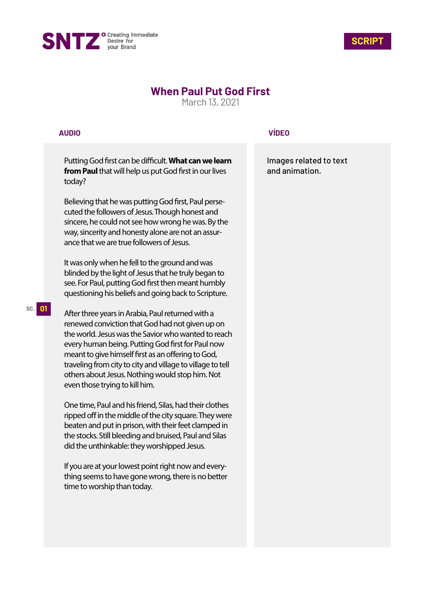



## **When Paul Put God First**

March 13, 2021

## **AUDIO**

Putting God first can be difficult. What can we learn **from Paul** that will help us put God first in our lives today?

Believing that he was putting God first, Paul persecuted the followers of Jesus. Though honest and sincere, he could not see how wrong he was. By the way, sincerity and honesty alone are not an assurance that we are true followers of Jesus.

It was only when he fell to the ground and was blinded by the light of Jesus that he truly began to see. For Paul, putting God first then meant humbly questioning his beliefs and going back to Scripture.

After three years in Arabia, Paul returned with a renewed conviction that God had not given up on the world. Jesus was the Savior who wanted to reach every human being. Putting God first for Paul now meant to give himself first as an offering to God, traveling from city to city and village to village to tell others about Jesus. Nothing would stop him. Not even those trying to kill him.

One time, Paul and his friend, Silas, had their clothes ripped off in the middle of the city square. They were beaten and put in prison, with their feet clamped in the stocks. Still bleeding and bruised, Paul and Silas did the unthinkable: they worshipped Jesus.

If you are at your lowest point right now and everything seems to have gone wrong, there is no better time to worship than today.

## **VÍDEO**

Images related to text and animation.